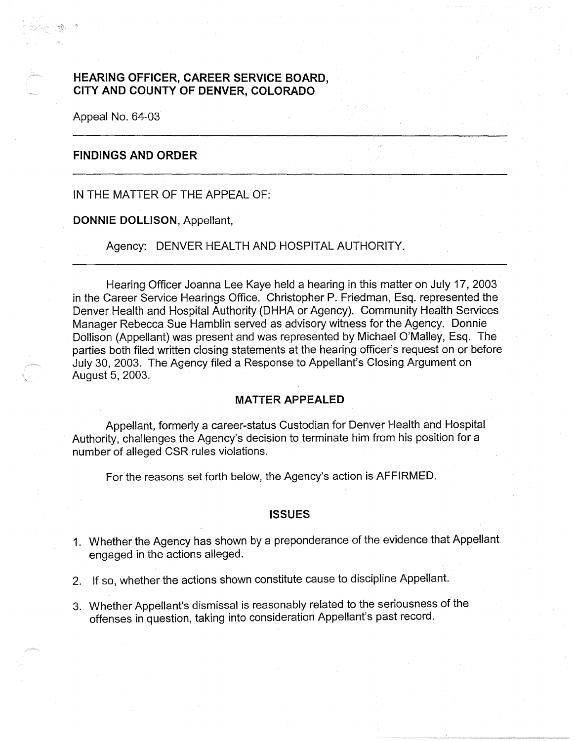# **HEARING OFFICER, CAREER SERVICE BOARD, CITY AND COUNTY OF DENVER, COLORADO**

Appeal No. 64-03

# **FINDINGS AND ORDER**

## IN THE MATTER OF THE APPEAL OF:

#### **DONNIE DOLLISON,** Appellant,

## Agency: DENVER HEALTH AND HOSPITAL AUTHORITY.

Hearing Officer Joanna Lee Kaye held a hearing in this matter on July 17, 2003 in the Career Service Hearings Office. Christopher P. Friedman, Esq. represented the Denver Health and Hospital Authority (DHHA or Agency). Community Health Services Manager Rebecca Sue Hamblin served as advisory witness for the Agency. Donnie Dollison (Appellant) was present and was represented by Michael O'Malley, Esq. The parties both filed written closing statements at the hearing officer's request on or before July 30, 2003. The Agency filed a Response to Appellant's Closing Argument on August 5, 2003.

## **MATTER APPEALED**

Appellant, formerly a career-status Custodian for Denver Health and Hospital Authority, challenges the Agency's decision to terminate him from his position for a number of alleged CSR rules violations.

For the reasons set forth below, the Agency's action is AFFIRMED.

## **ISSUES**

- 1. Whether the Agency has shown by a preponderance of the evidence that Appellant engaged in the actions alleged.
- 2. If so, whether the actions shown constitute cause to discipline Appellant.
- 3. Whether Appellant's dismissal is reasonably related to the seriousness of the offenses in question, taking into consideration Appellant's past record.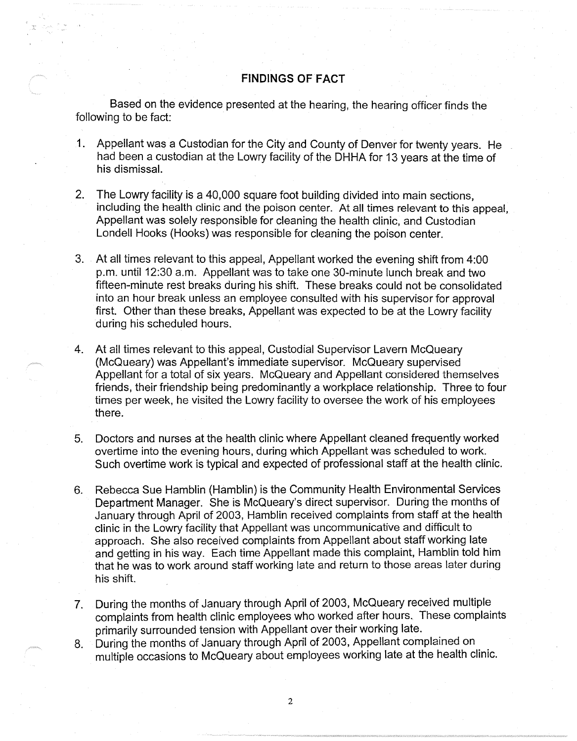## **FINDINGS OF FACT**

Based on the evidence presented at the hearing, the hearing officer finds the following to be fact:

- 1. Appellant was a Custodian for the City and County of Denver for twenty years. He had been a custodian at the Lowry facility of the DHHA for 13 years at the time of his dismissal.
- 2. The Lowry facility is a 40,000 square foot building divided into main sections, including the health clinic and the poison center. At all times relevant to this appeal, Appellant was solely responsible for cleaning the health clinic, and Custodian Londell Hooks (Hooks) was responsible for cleaning the poison center.
- 3. At all times relevant to this appeal, Appellant worked the evening shift from 4:00 p.m. until 12:30 a.m. Appellant was to take one 30-minute lunch break and two fifteen-minute rest breaks during his shift. These breaks could not be consolidated into an hour break unless an employee consulted with his supervisor for approval first. Other than these breaks, Appellant was expected to be at the Lowry facility during his scheduled hours.
- 4. At all times relevant to this appeal, Custodial Supervisor Lavern McQueary (McQueary) was Appellant's immediate supervisor. McQueary supervised Appellant for a total of six years. McQueary and Appellant considered themselves friends, their friendship being predominantly a workplace relationship. Three to four times per week, he visited the Lowry facility to oversee the work of his employees there.
- 5. Doctors and nurses at the health clinic where Appellant cleaned frequently worked overtime into the evening hours, during which Appellant was scheduled to work. Such overtime work is typical and expected of professional staff at the health clinic.
- 6. Rebecca Sue Hamblin (Hamblin) is the Community Health Environmental Services Department Manager. She is McQueary's direct supervisor. During the months of January through April of 2003, Hamblin received complaints from staff at the health clinic in the Lowry facility that Appellant was uncommunicative and difficult to approach. She also received complaints from Appellant about staff working late and getting in his way. Each time Appellant made this complaint, Hamblin told him that he was to work around staff working late and return to those areas later during his shift.
- 7. During the months of January through April of 2003, McQueary received multiple complaints from health clinic employees who worked after hours. These complaints primarily surrounded tension with Appellant over their working late.
- 8. During the months of January through April of 2003, Appellant complained on multiple occasions to McQueary about employees working late at the health clinic.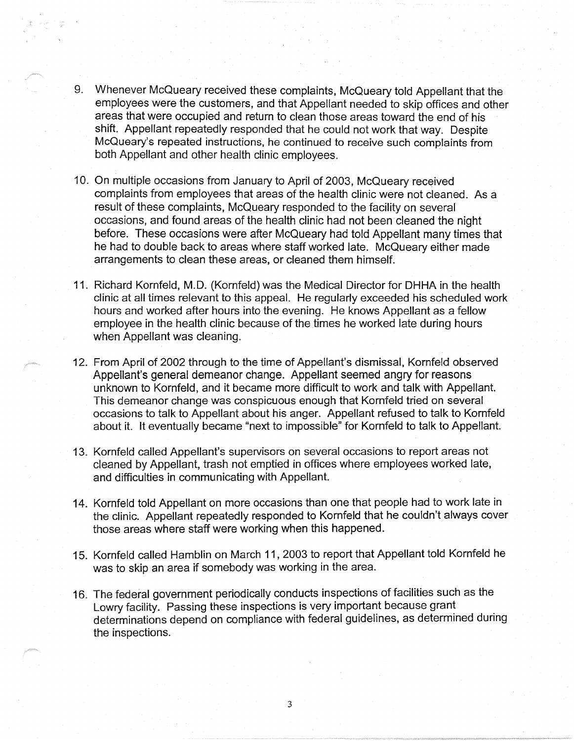- 9. Whenever McQueary received these complaints, McQueary told Appellant that the employees were the customers, and that Appellant needed to skip offices and other areas that were occupied and return to clean those areas toward the end of his shift. Appellant repeatedly responded that he could not work that way. Despite McQueary's repeated instructions, he continued to receive such complaints from both Appellant and other health clinic employees.
- 10. On multiple occasions from January to April of 2003, McQueary received complaints from employees that areas of the health clinic were not cleaned. As a result of these complaints, McQueary responded to the facility on several occasions, and found areas of the health clinic had not been cleaned the night before. These occasions were after McQueary had told Appellant many times that he had to double back to areas where staff worked late. McQueary either made arrangements to clean these areas, or cleaned them himself.
- 11. Richard Kornfeld, M.D. (Kornfeld) was the Medical Director for DHHA in the health clinic at all times relevant to this appeal. He regularly exceeded his scheduled work hours and worked after hours into the evening. He knows Appellant as a fellow employee in the health clinic because of the times he worked late during hours when Appellant was cleaning.
- 12. From April of 2002 through to the time of Appellant's dismissal, Kornfeld observed Appellant's general demeanor change. Appellant seemed angry for reasons unknown to Kornfeld, and it became more difficult to work and talk with Appellant. This demeanor change was conspicuous enough that Kornfeld tried on several occasions to talk to Appellant about his anger. Appellant refused to talk to Kornfeld about it. It eventually became "next to impossible" for Kornfeld to talk to Appellant.
- 13. Kornfeld called Appellant's supervisors on several occasions to report areas not cleaned by Appellant, trash not emptied in offices where employees worked late, and difficulties in communicating with Appellant.
- 14. Kornfeld told Appellant on more occasions than one that people had to work late in the clinic. Appellant repeatedly responded to Kornfeld that he couldn't always cover those areas where staff were working when this happened.
- 15. Kornfeld called Hamblin on March 11, 2003 to report that Appellant told Kornfeld he was to skip an area if somebody was working in the area.
- 16. The federal government periodically conducts inspections of facilities such as the Lowry facility. Passing these inspections is very important because grant determinations depend on compliance with federal guidelines, as determined during the inspections.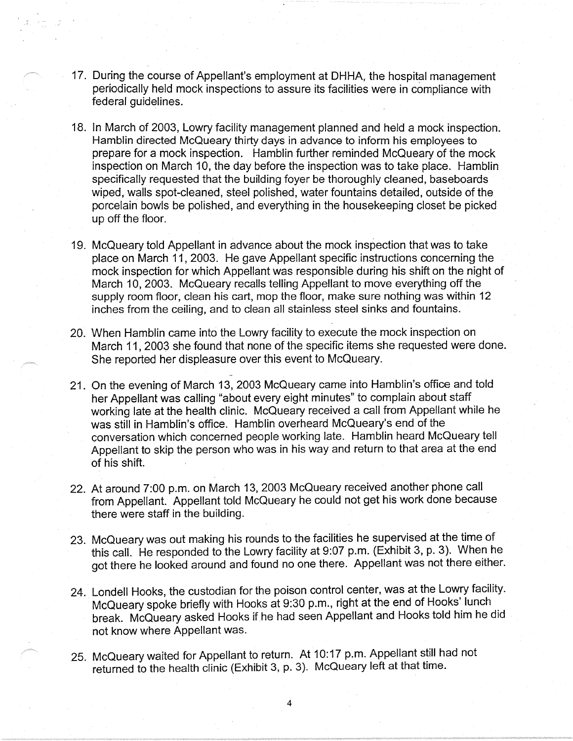- 17. During the course of Appellant's employment at DHHA, the hospital management periodically held mock inspections to assure its facilities were in compliance with federal guidelines.
- 18. In March of 2003, Lowry facility management planned and held a mock inspection. Hamblin directed McQueary thirty days in advance to inform his employees to prepare for a mock inspection. Hamblin further reminded McQueary of the mock inspection on March 10, the day before the inspection was to take place. Hamblin specifically requested that the building foyer be thoroughly cleaned, baseboards wiped, walls spot-cleaned, steel polished, water fountains detailed, outside of the porcelain bowls be polished, and everything in the housekeeping closet be picked up off the floor.
- 19. McQueary told Appellant in advance about the mock inspection that was to take place on March 11, 2003. He gave Appellant specific instructions concerning the mock inspection for which Appellant was responsible during his shift on the night of March 10, 2003. McQueary recalls telling Appellant to move everything off the supply room floor, clean his cart, mop the floor, make sure nothing was within 12 inches from the ceiling, and to clean all stainless steel sinks and fountains.
- 20. When Hamblin came into the Lowry facility to execute the mock inspection on March 11, 2003 she found that none of the specific items she requested were done. She reported her displeasure over this event to McQueary.
- 21. On the evening of March 13, 2003 McQueary came into Hamblin's office and told her Appellant was calling "about every eight minutes" to complain about staff working late at the health clinic. McQueary received a call from Appellant while he was still in Hamblin's office. Hamblin overheard McQueary's end of the conversation which concerned people working late. Hamblin heard McQueary tell Appellant to skip the person who was in his way and return to that area at the end of his shift.
- 22. At around 7:00 p.m. on March 13, 2003 McQueary received another phone call from Appellant. Appellant told McQueary he could not get his work done because there were staff in the building.
- 23. McQueary was out making his rounds to the facilities he supervised at the time of this call. He responded to the Lowry facility at 9:07 p.m. (Exhibit 3, p. 3). When he got there he looked around and found no one there. Appellant was not there either.
- 24. Londell Hooks, the custodian for the poison control center, was at the Lowry facility. McQueary spoke briefly with Hooks at 9:30 p.m., right at the end of Hooks' lunch break. McQueary asked Hooks ifhe had seen Appellant and Hooks told him he did not know where Appellant was.
- 25. McQueary waited for Appellant to return. At 10: 17 p.m. Appellant still had not returned to the health clinic (Exhibit 3, p. 3). McQueary left at that time.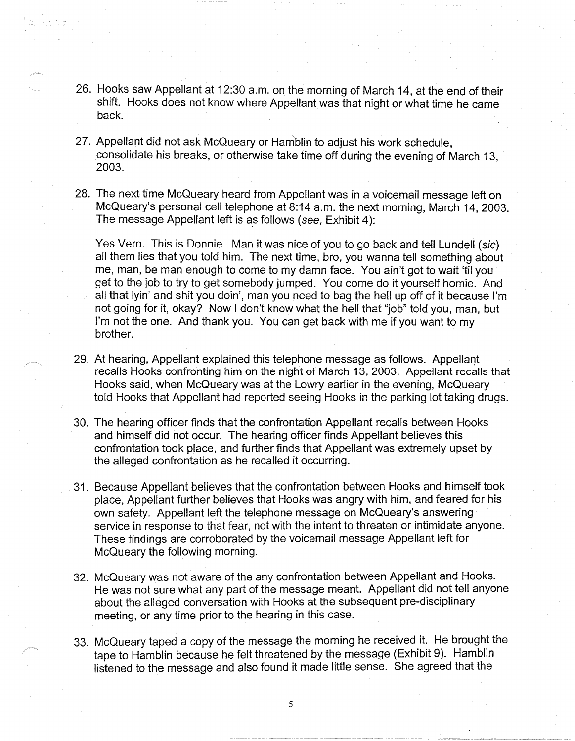- 26. Hooks saw Appellant at 12:30 a.m. on the morning of March 14, at the end of their shift. Hooks does not know where Appellant was that night or what time he came back.
- 27. Appellant did not ask McQueary or Hamblin to adjust his work schedule, consolidate his breaks, or otherwise take time off during the evening of March 13, 2003.
- 28. The next time McQueary heard from Appellant was in a voicemail message left on McQueary's personal cell telephone at 8:14 a.m. the next morning, March 14, 2003. The message Appellant left is as follows (see, Exhibit 4):

Yes Vern. This is Donnie. Man it was nice of you to go back and tell Lundell (sic) all them lies that you told him. The next time, bro, you wanna tell something about me, man, be man enough to come to my damn face. You ain't got to wait 'til you get to the job to try to get somebody jumped. You come do it yourself homie. And all that lyin' and shit you doin', man you need to bag the hell up off of it because I'm not going for it, okay? Now I don't know what the hell that "job" told you, man, but I'm not the one. And thank you. You can get back with me if you want to my brother.

- 29. At hearing, Appellant explained this telephone message as follows. Appellant recalls Hooks confronting him on the night of March 13, 2003. Appellant recalls that Hooks said, when McQueary was at the Lowry earlier in the evening, McQueary told Hooks that Appellant had reported seeing Hooks in the parking lot taking drugs.
- 30. The hearing officer finds that the confrontation Appellant recalls between Hooks and himself did not occur. The hearing officer finds Appellant believes this confrontation took place, and further finds that Appellant was extremely upset by the alleged confrontation as he recalled it occurring.
- 31. Because Appellant believes that the confrontation between Hooks and himself took place, Appellant further believes that Hooks was angry with him, and feared for his own safety. Appellant left the telephone message on McQueary's answering service in response to that fear, not with the intent to threaten or intimidate anyone. These findings are corroborated by the voicemail message Appellant left for McQueary the following morning.
- 32. McQueary was not aware of the any confrontation between Appellant and Hooks. He was not sure what any part of the message meant. Appellant did not tell anyone about the alleged conversation with Hooks at the subsequent pre-disciplinary meeting, or any time prior to the hearing in this case.
- 33. McQueary taped a copy of the message the morning he received it. He brought the tape to Hamblin because he felt threatened by the message (Exhibit 9). Hamblin listened to the message and also found it made little sense. She agreed that the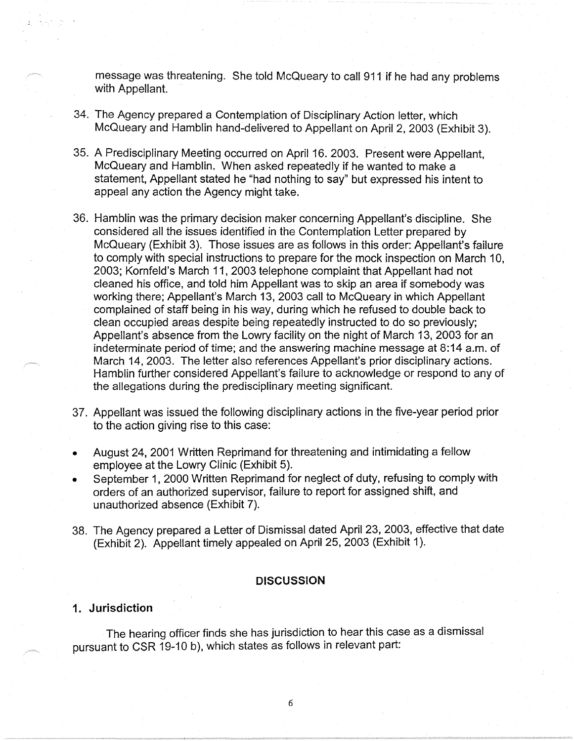message was threatening. She told McQueary to call 911 if he had any problems with Appellant.

- 34. The Agency prepared a Contemplation of Disciplinary Action letter, which McQueary and Hamblin hand-delivered to Appellant on April 2, 2003 (Exhibit 3).
- 35. A Predisciplinary Meeting occurred on April 16. 2003. Present were Appellant, McQueary and Hamblin. When asked repeatedly if he wanted to make a statement, Appellant stated he "had nothing to say" but expressed his intent to appeal any action the Agency might take.
- 36. Hamblin was the primary decision maker concerning Appellant's discipline. She considered all the issues identified in the Contemplation Letter prepared by McQueary (Exhibit 3). Those issues are as follows in this order: Appellant's failure to comply with special instructions to prepare for the mock inspection on March 10, 2003; Kornfeld's March 11, 2003 telephone complaint that Appellant had not cleaned his office, and told him Appellant was to skip an area if somebody was working there; Appellant's March 13, 2003 call to McQueary in which Appellant complained of staff being in his way, during which he refused to double back to clean occupied areas despite being repeatedly instructed to do so previously; Appellant's absence from the Lowry facility on the night of March 13, 2003 for an indeterminate period of time; and the answering machine message at 8:14 a.m. of March 14, 2003. The letter also references Appellant's prior disciplinary actions. Hamblin further considered Appellant's failure to acknowledge or respond to any of the allegations during the predisciplinary meeting significant.
- 37. Appellant was issued the following disciplinary actions in the five-year period prior to the action giving rise to this case:
- August 24, 2001 Written Reprimand for threatening and intimidating a fellow employee at the Lowry Clinic (Exhibit 5).
- September 1, 2000 Written Reprimand for neglect of duty, refusing to comply with orders of an authorized supervisor, failure to report for assigned shift, and unauthorized absence (Exhibit 7).
- 38. The Agency prepared a Letter of Dismissal dated April 23, 2003, effective that date (Exhibit 2). Appellant timely appealed on April 25, 2003 (Exhibit 1 ).

### **DISCUSSION**

## **1. Jurisdiction**

The hearing officer finds she has jurisdiction to hear this case as a dismissal pursuant to CSR 19-10 b), which states as follows in relevant part: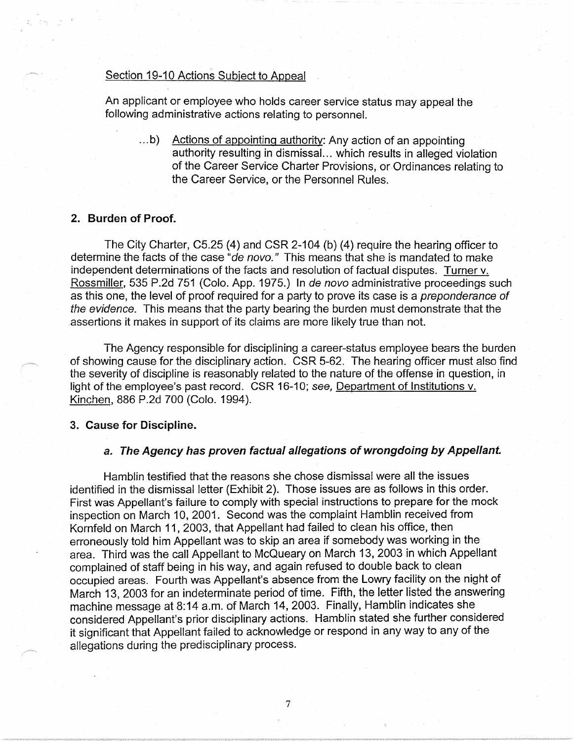## Section 19-10 Actions Subject to Appeal

An applicant or employee who holds career service status may appeal the following administrative actions relating to personnel.

 $\dots$ b) Actions of appointing authority: Any action of an appointing authority resulting in dismissal. .. which results in alleged violation of the Career Service Charter Provisions, or Ordinances relating to the Career Service, or the Personnel Rules.

## **2. Burden of Proof.**

The City Charter, C5.25 (4) and CSR 2-104 (b) (4) require the hearing officer to determine the facts of the case "de novo." This means that she is mandated to make independent determinations of the facts and resolution of factual disputes. Turner v. Rossmiller, 535 P.2d 751 (Colo. App. 1975.) In de novo administrative proceedings such as this one, the level of proof required for a party to prove its case is a preponderance of the evidence. This means that the party bearing the burden must demonstrate that the assertions it makes in support of its claims are more likely true than not.

The Agency responsible for disciplining a career-status employee bears the burden of showing cause for the disciplinary action. CSR 5-62. The hearing officer must also find the severity of discipline is reasonably related to the nature of the offense in question, in light of the employee's past record. CSR 16-10; see, Department of Institutions v. Kinchen, 886 P.2d 700 (Colo. 1994).

#### **3. Cause for Discipline.**

## **a. The Agency has proven factual allegations of wrongdoing by Appellant.**

Hamblin testified that the reasons she chose dismissal were all the issues identified in the dismissal letter (Exhibit 2). Those issues are as follows in this order. First was Appellant's failure to comply with special instructions to prepare for the mock inspection on March 10, 2001. Second was the complaint Hamblin received from Kornfeld on March 11, 2003, that Appellant had failed to clean his office, then erroneously told him Appellant was to skip an area if somebody was working in the area. Third was the call Appellant to McQueary on March 13, 2003 in which Appellant complained of staff being in his way, and again refused to double back to clean occupied areas. Fourth was Appellant's absence from the Lowry facility on the night of March 13, 2003 for an indeterminate period of time. Fifth, the letter listed the answering machine message at 8:14 a.m. of March 14, 2003. Finally, Hamblin indicates she considered Appellant's prior disciplinary actions. Hamblin stated she further considered it significant that Appellant failed to acknowledge or respond in any way to any of the allegations during the predisciplinary process.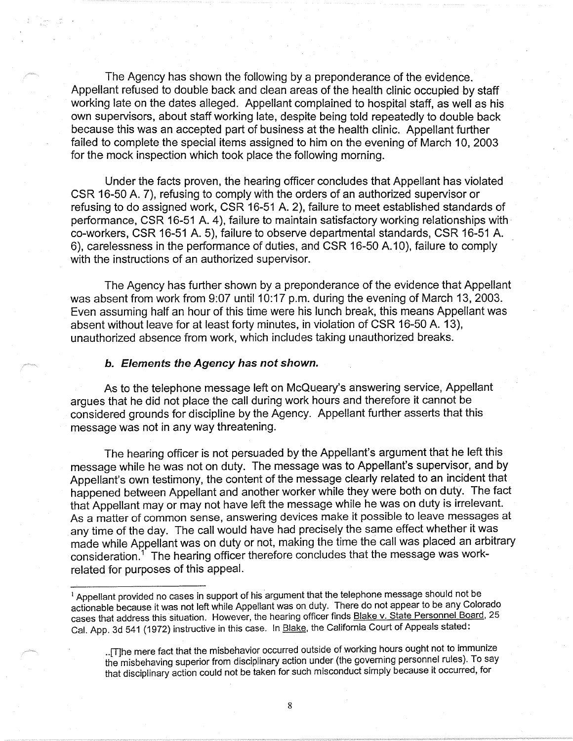The Agency has shown the following by a preponderance of the evidence. Appellant refused to double back and clean areas of the health clinic occupied by staff working late on the dates alleged. Appellant complained to hospital staff, as well as his own supervisors, about staff working late, despite being told repeatedly to double back because this was an accepted part of business at the health clinic. Appellant further failed to complete the special items assigned to him on the evening of March 10, 2003 for the mock inspection which took place the following morning.

Under the facts proven, the hearing officer concludes that Appellant has violated CSR 16-50 A. 7), refusing to comply with the orders of an authorized supervisor or refusing to do assigned work, CSR 16-51 A. 2), failure to meet established standards of performance, CSR 16-51 A. 4), failure to maintain satisfactory working relationships with co-workers, CSR 16-51 A. 5), failure to observe departmental standards, CSR 16-51 A. 6), carelessness in the performance of duties, and CSR 16-50 A.10), failure to comply with the instructions of an authorized supervisor.

The Agency has further shown by a preponderance of the evidence that Appellant was absent from work from 9:07 until 10:17 p.m. during the evening of March 13, 2003. Even assuming half an hour of this time were his lunch break, this means Appellant was absent without leave for at least forty minutes, in violation of CSR 16-50 A. 13), unauthorized absence from work, which includes taking unauthorized breaks.

#### **b. Elements the Agency has not shown.**

As to the telephone message left on McQueary's answering service, Appellant argues that he did not place the call during work hours and therefore it cannot be considered grounds for discipline by the Agency. Appellant further asserts that this message was not in any way threatening.

The hearing officer is not persuaded by the Appellant's argument that he left this message while he was not on duty. The message was to Appellant's supervisor, and by Appellant's own testimony, the content of the message clearly related to an incident that happened between Appellant and another worker while they were both on duty. The fact that Appellant may or may not have left the message while he was on duty is irrelevant. As a matter of common sense, answering devices make it possible to leave messages at any time of the day. The call would have had precisely the same effect whether it was made while Appellant was on duty or not, making the time the call was placed an arbitrary consideration.<sup>1</sup> The hearing officer therefore concludes that the message was workrelated for purposes of this appeal.

<sup>&</sup>lt;sup>1</sup> Appellant provided no cases in support of his argument that the telephone message should not be actionable because it was not left while Appellant was on duty. There do not appear to be any Colorado cases that address this situation. However, the hearing officer finds Blake v. State Personnel Board, 25 Cal. App. 3d 541 (1972) instructive in this case. In Blake, the California Court of Appeals stated:

<sup>.. [</sup>T]he mere fact that the misbehavior occurred outside of working hours ought not to immunize the misbehaving superior from disciplinary action under (the governing personnel rules). To say that disciplinary action could not be taken for such misconduct simply because it occurred, for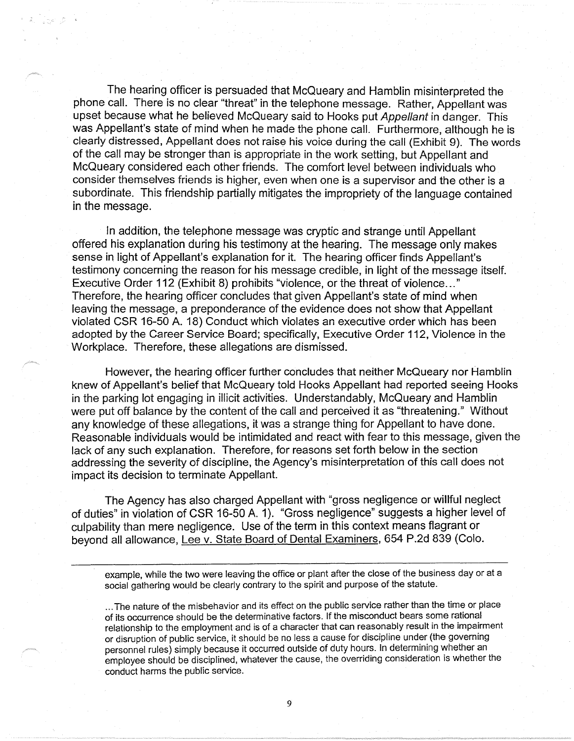The hearing officer is persuaded that McQueary and Hamblin misinterpreted the phone call. There is no clear "threat" in the telephone message. Rather, Appellant was upset because what he believed McQueary said to Hooks put Appellant in danger. This was Appellant's state of mind when he made the phone call. Furthermore, although he is clearly distressed, Appellant does not raise his voice during the call (Exhibit 9). The words of the call may be stronger than is appropriate in the work setting, but Appellant and McQueary considered each other friends. The comfort level between individuals who consider themselves friends is higher, even when one is a supervisor and the other is a subordinate. This friendship partially mitigates the impropriety of the language contained in the message.

In addition, the telephone message was cryptic and strange until Appellant offered his explanation during his testimony at the hearing. The message only makes sense in light of Appellant's explanation for it. The hearing officer finds Appellant's testimony concerning the reason for his message credible, in light of the message itself. Executive Order 112 (Exhibit 8) prohibits "violence, or the threat of violence ... " Therefore, the hearing officer concludes that given Appellant's state of mind when leaving the message, a preponderance of the evidence does not show that Appellant violated CSR 16-50 A. 18) Conduct which violates an executive order which has been adopted by the Career Service Board; specifically, Executive Order 112, Violence in the Workplace. Therefore, these allegations are dismissed.

However, the hearing officer further concludes that neither McQueary nor Hamblin knew of Appellant's belief that McQueary told Hooks Appellant had reported seeing Hooks in the parking lot engaging in illicit activities. Understandably, McQueary and Hamblin were put off balance by the content of the call and perceived it as "threatening." Without any knowledge of these allegations, it was a strange thing for Appellant to have done. Reasonable individuals would be intimidated and react with fear to this message, given the lack of any such explanation. Therefore, for reasons set forth below in the section addressing the severity of discipline, the Agency's misinterpretation of this call does not impact its decision to terminate Appellant.

The Agency has also charged Appellant with "gross negligence or willful neglect of duties" in violation of CSR 16-50 A. 1). "Gross negligence" suggests a higher level of culpability than mere negligence. Use of the term in this context means flagrant or beyond all allowance, Lee v. State Board of Dental Examiners, 654 P.2d 839 (Colo.

example, while the two were leaving the office or plant after the close of the business day or at a social gathering would be clearly contrary to the spirit and purpose of the statute .

... The nature of the misbehavior and its effect on the public service rather than the time or place of its occurrence should be the determinative factors. If the misconduct bears some rational relationship to the employment and is of a character that can reasonably result in the impairment or disruption of public service, it should be no less a cause for discipline under (the governing personnel rules) simply because it occurred outside of duty hours. In determining whether an employee should be disciplined, whatever the cause, the overriding consideration is whether the conduct harms the public service.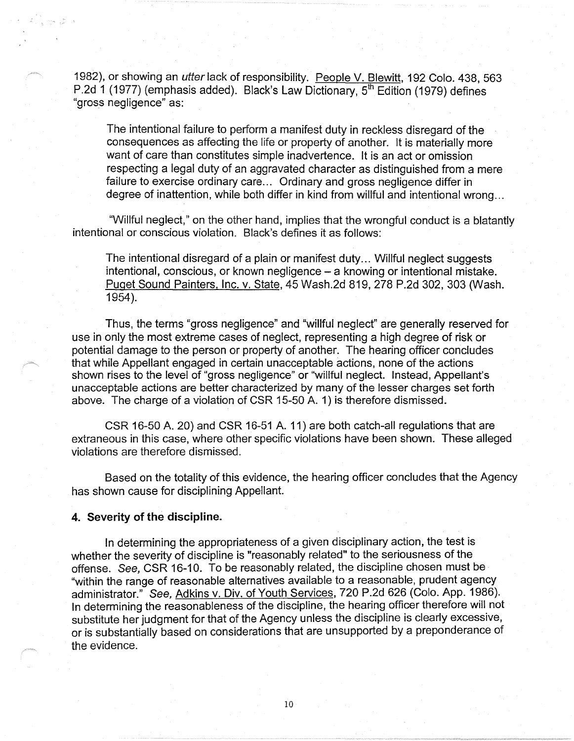1982), or showing an utter lack of responsibility. People V. Blewitt, 192 Colo. 438, 563 P.2d 1 (1977) (emphasis added). Black's Law Dictionary, 5<sup>th</sup> Edition (1979) defines "gross negligence" as:

The intentional failure to perform a manifest duty in reckless disregard of the consequences as affecting the life or property of another. It is materially more want of care than constitutes simple inadvertence. It is an act or omission respecting a legal duty of an aggravated character as distinguished from a mere failure to exercise ordinary care... Ordinary and gross negligence differ in degree of inattention, while both differ in kind from willful and intentional wrong ...

"Willful neglect," on the other hand, implies that the wrongful conduct is a blatantly intentional or conscious violation. Black's defines it as follows:

The intentional disregard of a plain or manifest duty ... Willful neglect suggests intentional, conscious, or known negligence - a knowing or intentional mistake. Puget Sound Painters, Inc. v. State, 45 Wash.2d 819,278 P.2d 302,303 (Wash. 1954).

Thus, the terms "gross negligence" and "willful neglect" are generally reserved for use in only the most extreme cases of neglect, representing a high degree of risk or potential damage to the person or property of another. The hearing officer concludes that while Appellant engaged in certain unacceptable actions, none of the actions shown rises to the level of "gross negligence" or "willful neglect. Instead, Appellant's unacceptable actions are better characterized by many of the lesser charges set forth above. The charge of a violation of CSR 15-50 A. 1) is therefore dismissed.

CSR 16-50 A. 20) and CSR 16-51 A. 11) are both catch-all regulations that are extraneous in this case, where other specific violations have been shown. These alleged violations are therefore dismissed.

Based on the totality of this evidence, the hearing officer concludes that the Agency has shown cause for disciplining Appellant.

#### **4. Severity of the discipline.**

In determining the appropriateness of a given disciplinary action, the test is whether the severity of discipline is "reasonably related" to the seriousness of the offense. See, CSR 16-10. To be reasonably related, the discipline chosen must be "within the range of reasonable alternatives available to a reasonable, prudent agency administrator." See, Adkins v. Div. of Youth Services, 720 P.2d 626 (Colo. App. 1986). In determining the reasonableness of the discipline, the hearing officer therefore will not substitute her judgment for that of the Agency unless the discipline is clearly excessive, or is substantially based on considerations that are unsupported by a preponderance of the evidence.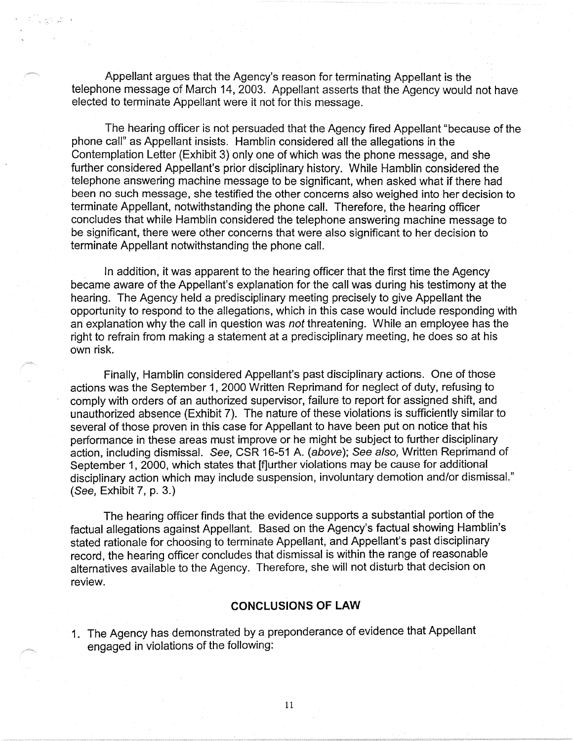Appellant argues that the Agency's reason for terminating Appellant is the telephone message of March 14, 2003. Appellant asserts that the Agency would not have elected to terminate Appellant were it not for this message.

The hearing officer is not persuaded that the Agency fired Appellant "because of the phone call" as Appellant insists. Hamblin considered all the allegations in the Contemplation Letter (Exhibit 3) only one of which was the phone message, and she further considered Appellant's prior disciplinary history. While Hamblin considered the telephone answering machine message to be significant, when asked what if there had been no such message, she testified the other concerns also weighed into her decision to terminate Appellant, notwithstanding the phone call. Therefore, the hearing officer concludes that while Hamblin considered the telephone answering machine message to be significant, there were other concerns that were also significant to her decision to terminate Appellant notwithstanding the phone call.

In addition, it was apparent to the hearing officer that the first time the Agency became aware of the Appellant's explanation for the call was during his testimony at the hearing. The Agency held a predisciplinary meeting precisely to give Appellant the opportunity to respond to the allegations, which in this case would include responding with an explanation why the call in question was not threatening. While an employee has the right to refrain from making a statement at a predisciplinary meeting, he does so at his own risk.

Finally, Hamblin considered Appellant's past disciplinary actions. One of those actions was the September 1, 2000 Written Reprimand for neglect of duty, refusing to comply with orders of an authorized supervisor, failure to report for assigned shift, and unauthorized absence (Exhibit 7). The nature of these violations is sufficiently similar to several of those proven in this case for Appellant to have been put on notice that his performance in these areas must improve or he might be subject to further disciplinary action, including dismissal. See, CSR 16-51 A. (above); See also, Written Reprimand of September 1, 2000, which states that [f]urther violations may be cause for additional disciplinary action which may include suspension, involuntary demotion and/or dismissal." (See, Exhibit 7, p. 3.)

The hearing officer finds that the evidence supports a substantial portion of the factual allegations against Appellant. Based on the Agency's factual showing Hamblin's stated rationale for choosing to terminate Appellant, and Appellant's past disciplinary record, the hearing officer concludes that dismissal is within the range of reasonable alternatives available to the Agency. Therefore, she will not disturb that decision on review.

#### **CONCLUSIONS OF LAW**

1. The Agency has demonstrated by a preponderance of evidence that Appellant engaged in violations of the following: